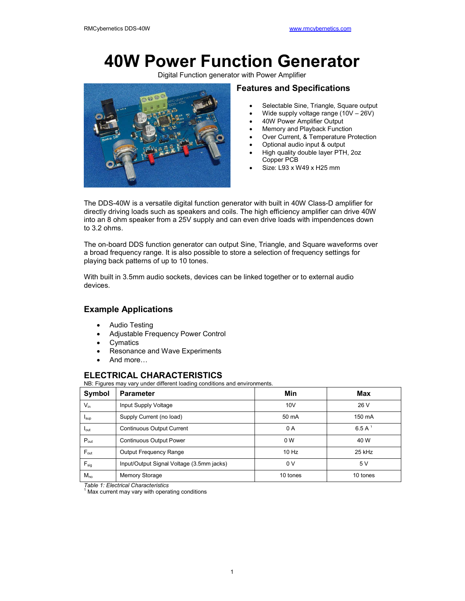# **40W Power Function Generator**

Digital Function generator with Power Amplifier



## **Features and Specifications**

- Selectable Sine, Triangle, Square output
- Wide supply voltage range (10V 26V)
- 40W Power Amplifier Output
- Memory and Playback Function
- Over Current, & Temperature Protection
- Optional audio input & output
- High quality double layer PTH, 2oz Copper PCB
- Size: L93 x W49 x H25 mm

The DDS-40W is a versatile digital function generator with built in 40W Class-D amplifier for directly driving loads such as speakers and coils. The high efficiency amplifier can drive 40W into an 8 ohm speaker from a 25V supply and can even drive loads with impendences down to 3.2 ohms.

The on-board DDS function generator can output Sine, Triangle, and Square waveforms over a broad frequency range. It is also possible to store a selection of frequency settings for playing back patterns of up to 10 tones.

With built in 3.5mm audio sockets, devices can be linked together or to external audio devices.

# **Example Applications**

- Audio Testing
- Adjustable Frequency Power Control
- **Cymatics**
- Resonance and Wave Experiments
- And more…

# **ELECTRICAL CHARACTERISTICS**

NB: Figures may vary under different loading conditions and environments.

| Symbol                      | <b>Parameter</b>                          | Min            | Max          |
|-----------------------------|-------------------------------------------|----------------|--------------|
| $V_{in}$                    | Input Supply Voltage                      | 10V            | 26 V         |
| $I_{\text{sup}}$            | Supply Current (no load)                  | 50 mA          | 150 mA       |
| $I_{\text{out}}$            | <b>Continuous Output Current</b>          | 0 A            | 6.5 A $^{1}$ |
| $P_{\text{out}}$            | <b>Continuous Output Power</b>            | 0 <sub>W</sub> | 40 W         |
| $F_{\text{out}}$            | <b>Output Frequency Range</b>             | 10 Hz          | 25 kHz       |
| $\mathsf{F}_{\mathsf{sig}}$ | Input/Output Signal Voltage (3.5mm jacks) | 0V             | 5 V          |
| $M_{no}$                    | Memory Storage                            | 10 tones       | 10 tones     |

*Table 1: Electrical Characteristics*<br><sup>1</sup> Max current may vary with operating conditions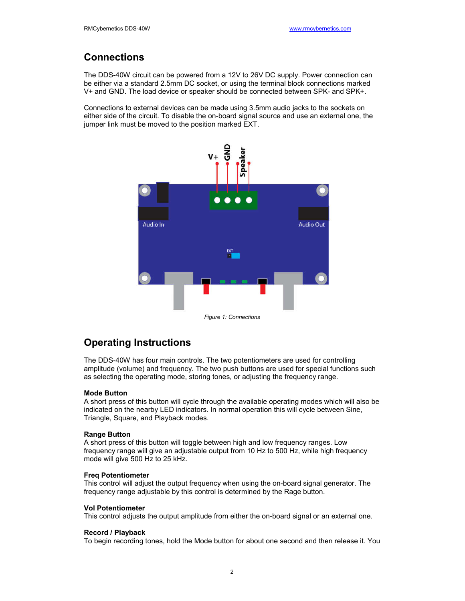# **Connections**

The DDS-40W circuit can be powered from a 12V to 26V DC supply. Power connection can be either via a standard 2.5mm DC socket, or using the terminal block connections marked V+ and GND. The load device or speaker should be connected between SPK- and SPK+.

Connections to external devices can be made using 3.5mm audio jacks to the sockets on either side of the circuit. To disable the on-board signal source and use an external one, the jumper link must be moved to the position marked EXT.



# **Operating Instructions**

The DDS-40W has four main controls. The two potentiometers are used for controlling amplitude (volume) and frequency. The two push buttons are used for special functions such as selecting the operating mode, storing tones, or adjusting the frequency range.

## **Mode Button**

A short press of this button will cycle through the available operating modes which will also be indicated on the nearby LED indicators. In normal operation this will cycle between Sine, Triangle, Square, and Playback modes.

### **Range Button**

A short press of this button will toggle between high and low frequency ranges. Low frequency range will give an adjustable output from 10 Hz to 500 Hz, while high frequency mode will give 500 Hz to 25 kHz.

### **Freq Potentiometer**

This control will adjust the output frequency when using the on-board signal generator. The frequency range adjustable by this control is determined by the Rage button.

### **Vol Potentiometer**

This control adjusts the output amplitude from either the on-board signal or an external one.

### **Record / Playback**

To begin recording tones, hold the Mode button for about one second and then release it. You